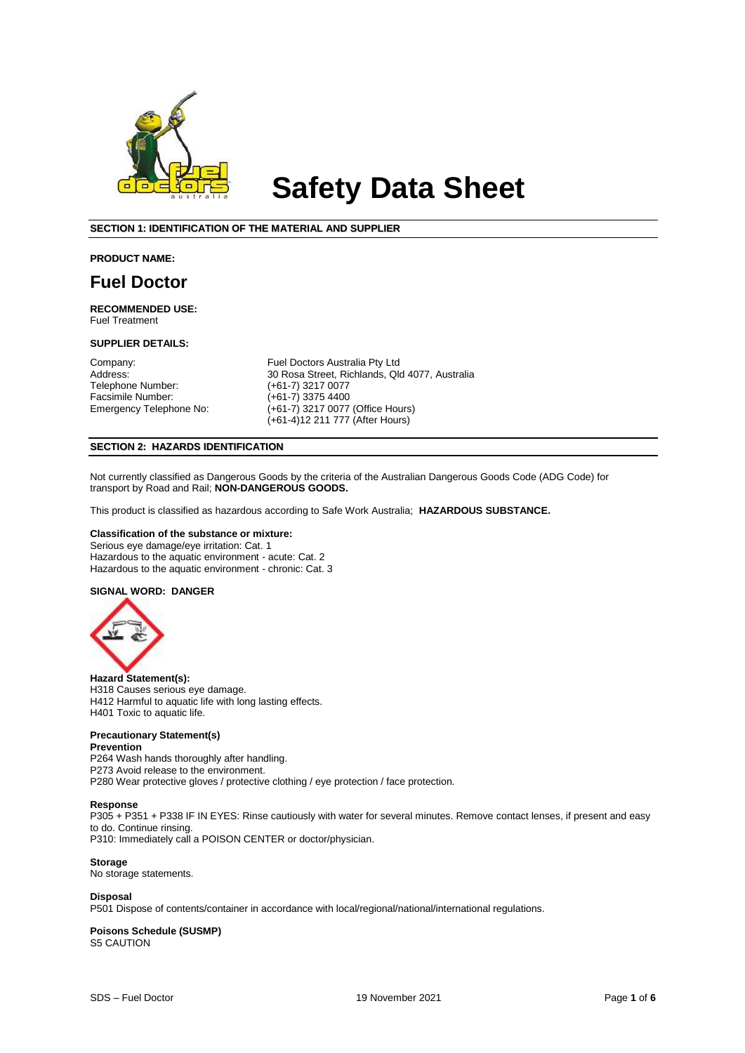

# **Safety Data Sheet**

#### **SECTION 1: IDENTIFICATION OF THE MATERIAL AND SUPPLIER**

#### **PRODUCT NAME:**

### **Fuel Doctor**

**RECOMMENDED USE:**  Fuel Treatment

#### **SUPPLIER DETAILS:**

Facsimile Number:<br>Emergency Telephone No:

Company: Fuel Doctors Australia Pty Ltd<br>
Address: 30 Rosa Street, Richlands, Qlo Address: 30 Rosa Street, Richlands, Qld 4077, Australia<br>1997 - Telephone Number: (+61-7) 3217 0077 (+61-7) 3217 0077<br>(+61-7) 3375 4400 (+61-7) 3217 0077 (Office Hours) (+61-4)12 211 777 (After Hours)

#### **SECTION 2: HAZARDS IDENTIFICATION**

Not currently classified as Dangerous Goods by the criteria of the Australian Dangerous Goods Code (ADG Code) for transport by Road and Rail; **NON-DANGEROUS GOODS.**

This product is classified as hazardous according to Safe Work Australia; **HAZARDOUS SUBSTANCE.**

#### **Classification of the substance or mixture:**

Serious eye damage/eye irritation: Cat. 1 Hazardous to the aquatic environment - acute: Cat. 2 Hazardous to the aquatic environment - chronic: Cat. 3

#### **SIGNAL WORD: DANGER**



**Hazard Statement(s):** H318 Causes serious eye damage. H412 Harmful to aquatic life with long lasting effects. H401 Toxic to aquatic life.

#### **Precautionary Statement(s)**

**Prevention** P264 Wash hands thoroughly after handling. P273 Avoid release to the environment.

P280 Wear protective gloves / protective clothing / eye protection / face protection.

#### **Response**

P305 + P351 + P338 IF IN EYES: Rinse cautiously with water for several minutes. Remove contact lenses, if present and easy to do. Continue rinsing.

P310: Immediately call a POISON CENTER or doctor/physician.

**Storage** No storage statements.

#### **Disposal**

P501 Dispose of contents/container in accordance with local/regional/national/international regulations.

#### **Poisons Schedule (SUSMP)** S5 CAUTION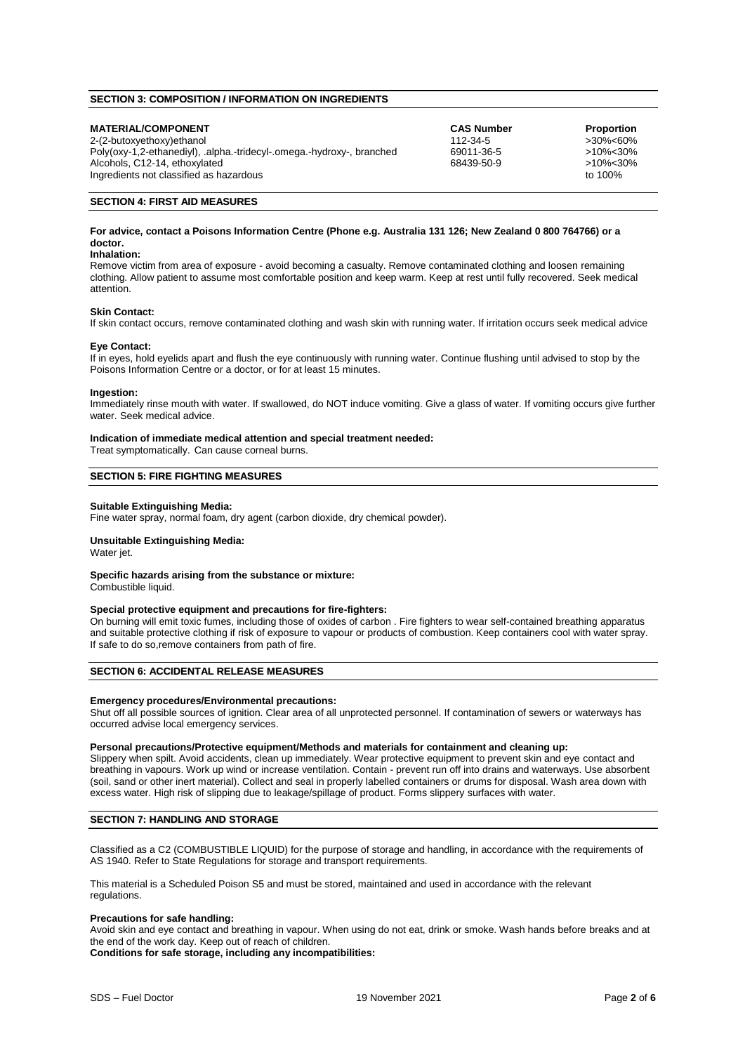#### **SECTION 3: COMPOSITION / INFORMATION ON INGREDIENTS**

| <b>MATERIAL/COMPONENT</b>                                             | <b>CAS Number</b> | <b>Proportion</b> |
|-----------------------------------------------------------------------|-------------------|-------------------|
| 2-(2-butoxyethoxy)ethanol                                             | 112-34-5          | >30%<60%          |
| Poly(oxy-1,2-ethanediyl), .alpha.-tridecyl-.omega.-hydroxy-, branched | 69011-36-5        | >10%<30%          |
| Alcohols, C12-14, ethoxylated                                         | 68439-50-9        | >10%<30%          |
| Ingredients not classified as hazardous                               |                   | to 100%           |

#### **SECTION 4: FIRST AID MEASURES**

#### **For advice, contact a Poisons Information Centre (Phone e.g. Australia 131 126; New Zealand 0 800 764766) or a doctor.**

#### **Inhalation:**

Remove victim from area of exposure - avoid becoming a casualty. Remove contaminated clothing and loosen remaining clothing. Allow patient to assume most comfortable position and keep warm. Keep at rest until fully recovered. Seek medical attention.

#### **Skin Contact:**

If skin contact occurs, remove contaminated clothing and wash skin with running water. If irritation occurs seek medical advice

#### **Eye Contact:**

If in eyes, hold eyelids apart and flush the eye continuously with running water. Continue flushing until advised to stop by the Poisons Information Centre or a doctor, or for at least 15 minutes.

#### **Ingestion:**

Immediately rinse mouth with water. If swallowed, do NOT induce vomiting. Give a glass of water. If vomiting occurs give further water. Seek medical advice.

**Indication of immediate medical attention and special treatment needed:**

Treat symptomatically. Can cause corneal burns.

#### **SECTION 5: FIRE FIGHTING MEASURES**

#### **Suitable Extinguishing Media:**

Fine water spray, normal foam, dry agent (carbon dioxide, dry chemical powder).

#### **Unsuitable Extinguishing Media:**

Water iet.

**Specific hazards arising from the substance or mixture:**

Combustible liquid.

#### **Special protective equipment and precautions for fire-fighters:**

On burning will emit toxic fumes, including those of oxides of carbon . Fire fighters to wear self-contained breathing apparatus and suitable protective clothing if risk of exposure to vapour or products of combustion. Keep containers cool with water spray. If safe to do so,remove containers from path of fire.

#### **SECTION 6: ACCIDENTAL RELEASE MEASURES**

#### **Emergency procedures/Environmental precautions:**

Shut off all possible sources of ignition. Clear area of all unprotected personnel. If contamination of sewers or waterways has occurred advise local emergency services.

#### **Personal precautions/Protective equipment/Methods and materials for containment and cleaning up:**

Slippery when spilt. Avoid accidents, clean up immediately. Wear protective equipment to prevent skin and eye contact and breathing in vapours. Work up wind or increase ventilation. Contain - prevent run off into drains and waterways. Use absorbent (soil, sand or other inert material). Collect and seal in properly labelled containers or drums for disposal. Wash area down with excess water. High risk of slipping due to leakage/spillage of product. Forms slippery surfaces with water.

#### **SECTION 7: HANDLING AND STORAGE**

Classified as a C2 (COMBUSTIBLE LIQUID) for the purpose of storage and handling, in accordance with the requirements of AS 1940. Refer to State Regulations for storage and transport requirements.

This material is a Scheduled Poison S5 and must be stored, maintained and used in accordance with the relevant regulations.

#### **Precautions for safe handling:**

Avoid skin and eye contact and breathing in vapour. When using do not eat, drink or smoke. Wash hands before breaks and at the end of the work day. Keep out of reach of children.

**Conditions for safe storage, including any incompatibilities:**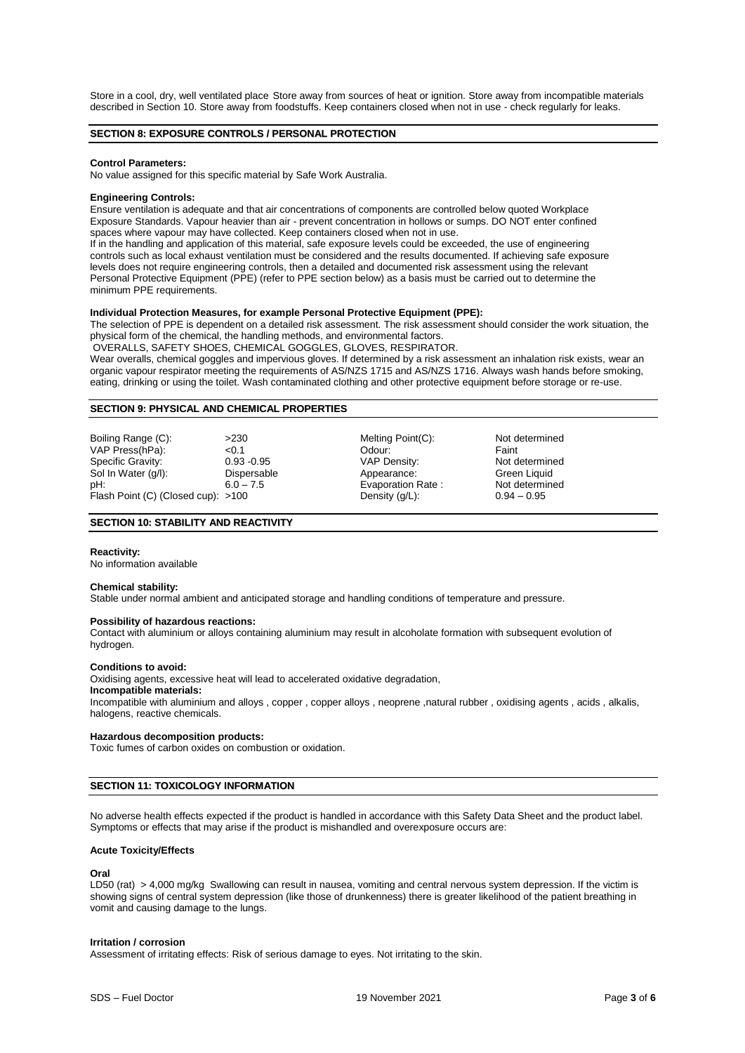Store in a cool, dry, well ventilated place Store away from sources of heat or ignition. Store away from incompatible materials described in Section 10. Store away from foodstuffs. Keep containers closed when not in use - check regularly for leaks.

#### **SECTION 8: EXPOSURE CONTROLS / PERSONAL PROTECTION**

#### **Control Parameters:**

No value assigned for this specific material by Safe Work Australia.

#### **Engineering Controls:**

Ensure ventilation is adequate and that air concentrations of components are controlled below quoted Workplace Exposure Standards. Vapour heavier than air - prevent concentration in hollows or sumps. DO NOT enter confined spaces where vapour may have collected. Keep containers closed when not in use.

If in the handling and application of this material, safe exposure levels could be exceeded, the use of engineering controls such as local exhaust ventilation must be considered and the results documented. If achieving safe exposure levels does not require engineering controls, then a detailed and documented risk assessment using the relevant Personal Protective Equipment (PPE) (refer to PPE section below) as a basis must be carried out to determine the minimum PPE requirements.

#### **Individual Protection Measures, for example Personal Protective Equipment (PPE):**

The selection of PPE is dependent on a detailed risk assessment. The risk assessment should consider the work situation, the physical form of the chemical, the handling methods, and environmental factors.

OVERALLS, SAFETY SHOES, CHEMICAL GOGGLES, GLOVES, RESPIRATOR.

Wear overalls, chemical goggles and impervious gloves. If determined by a risk assessment an inhalation risk exists, wear an organic vapour respirator meeting the requirements of AS/NZS 1715 and AS/NZS 1716. Always wash hands before smoking, eating, drinking or using the toilet. Wash contaminated clothing and other protective equipment before storage or re-use.

#### **SECTION 9: PHYSICAL AND CHEMICAL PROPERTIES**

Boiling Range (C):  $>230$  Melting Point(C): Not determined<br>VAP Press(hPa):  $< 0.1$  < Odour: Faint VAP Press(hPa): <0.1 Odour: Faint Specific Gravity:  $0.93 - 0.95$  VAP Density: Not determined by Not determined by Not determined by Not determined by Not determined by Not determined by Not determined by Not determined by Not determined by Not determined b Sol In Water (g/l): Dispersable Appearance: Green Liquid pH: Green Liquid pH: Green Liquid pH: Flash Point (C) (Closed cup): >100

Evaporation Rate : Not determined by Not determined by Not determined up to  $0.94 - 0.95$ 

#### **SECTION 10: STABILITY AND REACTIVITY**

#### **Reactivity:**

No information available

#### **Chemical stability:**

Stable under normal ambient and anticipated storage and handling conditions of temperature and pressure.

#### **Possibility of hazardous reactions:**

Contact with aluminium or alloys containing aluminium may result in alcoholate formation with subsequent evolution of hydrogen.

#### **Conditions to avoid:**

Oxidising agents, excessive heat will lead to accelerated oxidative degradation,

#### **Incompatible materials:**

Incompatible with aluminium and alloys , copper , copper alloys , neoprene ,natural rubber , oxidising agents , acids , alkalis, halogens, reactive chemicals.

#### **Hazardous decomposition products:**

Toxic fumes of carbon oxides on combustion or oxidation.

#### **SECTION 11: TOXICOLOGY INFORMATION**

No adverse health effects expected if the product is handled in accordance with this Safety Data Sheet and the product label. Symptoms or effects that may arise if the product is mishandled and overexposure occurs are:

#### **Acute Toxicity/Effects**

#### **Oral**

LD50 (rat) > 4,000 mg/kg Swallowing can result in nausea, vomiting and central nervous system depression. If the victim is showing signs of central system depression (like those of drunkenness) there is greater likelihood of the patient breathing in vomit and causing damage to the lungs.

#### **Irritation / corrosion**

Assessment of irritating effects: Risk of serious damage to eyes. Not irritating to the skin.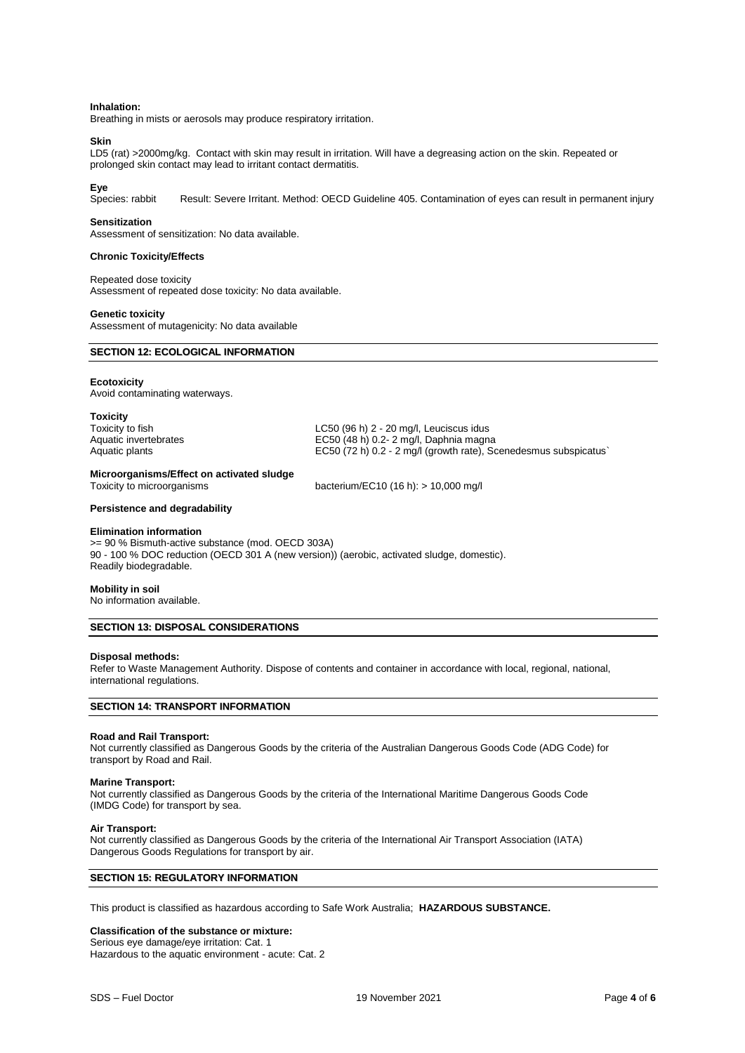#### **Inhalation:**

Breathing in mists or aerosols may produce respiratory irritation.

#### **Skin**

LD5 (rat) >2000mg/kg. Contact with skin may result in irritation. Will have a degreasing action on the skin. Repeated or prolonged skin contact may lead to irritant contact dermatitis.

Eye<br>Species: rabbit Result: Severe Irritant. Method: OECD Guideline 405. Contamination of eyes can result in permanent injury

#### **Sensitization**

Assessment of sensitization: No data available.

#### **Chronic Toxicity/Effects**

Repeated dose toxicity Assessment of repeated dose toxicity: No data available.

#### **Genetic toxicity**

Assessment of mutagenicity: No data available

#### **SECTION 12: ECOLOGICAL INFORMATION**

#### **Ecotoxicity**

Avoid contaminating waterways.

#### **Toxicity**

Toxicity to fish distribution of the control of the LC50 (96 h) 2 - 20 mg/l, Leuciscus idus<br>
EC50 (48 h) 0.2- 2 mg/l, Daphnia magni  $EC50$  (48 h) 0.2- 2 mg/l, Daphnia magna Aquatic plants **EC50** (72 h) 0.2 - 2 mg/l (growth rate), Scenedesmus subspicatus`

## **Microorganisms/Effect on activated sludge**

bacterium/EC10 (16 h): > 10,000 mg/l

#### **Persistence and degradability**

#### **Elimination information**

>= 90 % Bismuth-active substance (mod. OECD 303A) 90 - 100 % DOC reduction (OECD 301 A (new version)) (aerobic, activated sludge, domestic). Readily biodegradable.

#### **Mobility in soil**

No information available.

#### **SECTION 13: DISPOSAL CONSIDERATIONS**

#### **Disposal methods:**

Refer to Waste Management Authority. Dispose of contents and container in accordance with local, regional, national, international regulations.

#### **SECTION 14: TRANSPORT INFORMATION**

#### **Road and Rail Transport:**

Not currently classified as Dangerous Goods by the criteria of the Australian Dangerous Goods Code (ADG Code) for transport by Road and Rail.

#### **Marine Transport:**

Not currently classified as Dangerous Goods by the criteria of the International Maritime Dangerous Goods Code (IMDG Code) for transport by sea.

#### **Air Transport:**

Not currently classified as Dangerous Goods by the criteria of the International Air Transport Association (IATA) Dangerous Goods Regulations for transport by air.

#### **SECTION 15: REGULATORY INFORMATION**

This product is classified as hazardous according to Safe Work Australia; **HAZARDOUS SUBSTANCE.**

#### **Classification of the substance or mixture:**

Serious eye damage/eye irritation: Cat. 1 Hazardous to the aquatic environment - acute: Cat. 2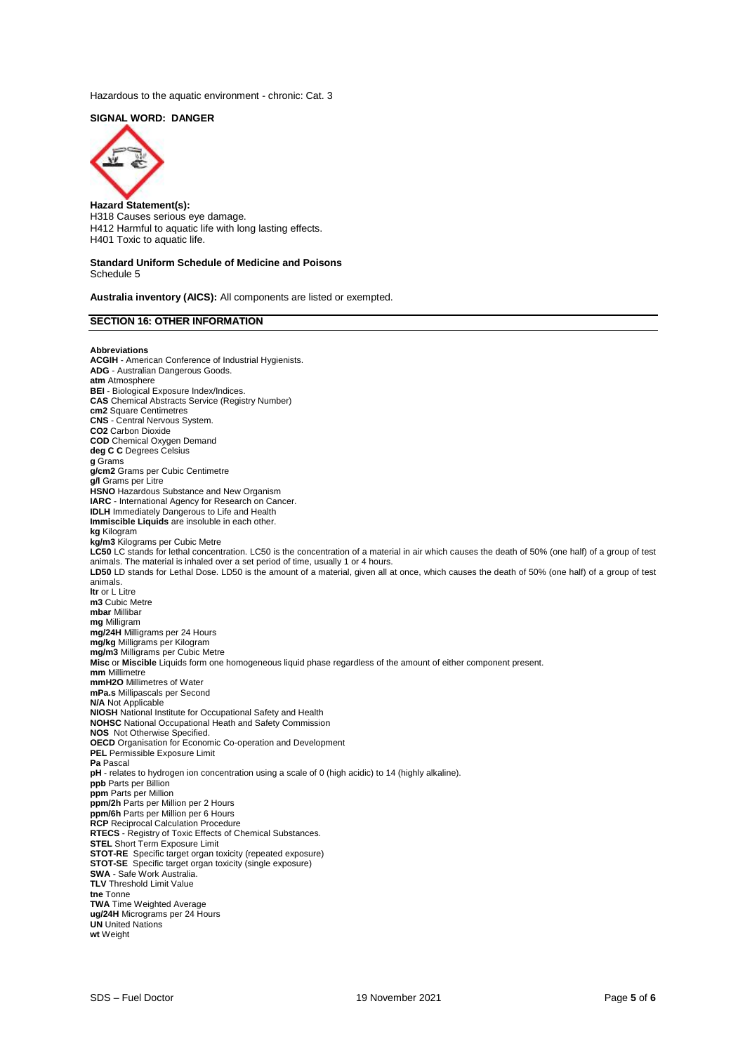Hazardous to the aquatic environment - chronic: Cat. 3

#### **SIGNAL WORD: DANGER**



**Hazard Statement(s):** H318 Causes serious eye damage. H412 Harmful to aquatic life with long lasting effects. H401 Toxic to aquatic life.

#### **Standard Uniform Schedule of Medicine and Poisons** Schedule 5

**Australia inventory (AICS):** All components are listed or exempted.

#### **SECTION 16: OTHER INFORMATION**

**Abbreviations**

**ACGIH** - American Conference of Industrial Hygienists. **ADG** - Australian Dangerous Goods. **atm** Atmosphere **BEI** - Biological Exposure Index/Indices. **CAS** Chemical Abstracts Service (Registry Number) **cm2** Square Centimetres **CNS** - Central Nervous System. **CO2** Carbon Dioxide **COD** Chemical Oxygen Demand **deg C C** Degrees Celsius **g** Grams **g/cm2** Grams per Cubic Centimetre **g/l** Grams per Litre **HSNO** Hazardous Substance and New Organism **IARC** - International Agency for Research on Cancer. **IDLH** Immediately Dangerous to Life and Health **Immiscible Liquids** are insoluble in each other. **kg** Kilogram **kg/m3** Kilograms per Cubic Metre LC50 LC stands for lethal concentration. LC50 is the concentration of a material in air which causes the death of 50% (one half) of a group of test animals. The material is inhaled over a set period of time, usually 1 or 4 hours. LD50 LD stands for Lethal Dose. LD50 is the amount of a material, given all at once, which causes the death of 50% (one half) of a group of test animals. **ltr** or L Litre **m3** Cubic Metre **mbar** Millibar **mg** Milligram **mg/24H** Milligrams per 24 Hours **mg/kg** Milligrams per Kilogram **mg/m3** Milligrams per Cubic Metre **Misc** or **Miscible** Liquids form one homogeneous liquid phase regardless of the amount of either component present. **mm** Millimetre **mmH2O** Millimetres of Water **mPa.s** Millipascals per Second **N/A** Not Applicable **NIOSH** National Institute for Occupational Safety and Health **NOHSC** National Occupational Heath and Safety Commission **NOS** Not Otherwise Specified. **OECD** Organisation for Economic Co-operation and Development **PEL** Permissible Exposure Limit **Pa** Pascal **pH** - relates to hydrogen ion concentration using a scale of 0 (high acidic) to 14 (highly alkaline). **ppb** Parts per Billion **ppm** Parts per Million **ppm/2h** Parts per Million per 2 Hours **ppm/6h** Parts per Million per 6 Hours **RCP** Reciprocal Calculation Procedure **RTECS** - Registry of Toxic Effects of Chemical Substances. **STEL** Short Term Exposure Limit **STOT-RE** Specific target organ toxicity (repeated exposure) **STOT-SE** Specific target organ toxicity (single exposure) **SWA** - Safe Work Australia. **TLV** Threshold Limit Value **tne** Tonne **TWA** Time Weighted Average **ug/24H** Micrograms per 24 Hours **UN** United Nations **wt** Weight